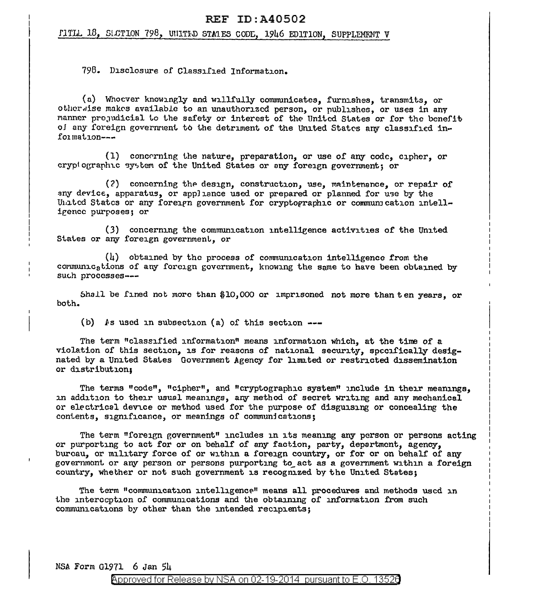## **REF ID: A40502**

## FITLL 18, SLCTION 798, UNITED STATES CODE. 1946 EDITION, SUPPLEMENT V

798. Disclosure of Classified Information.

(a) Whocver knowingly and willfully communicates, furnishes, transmits, or otherwise makes available to an unauthorized person, or publishes, or uses in any manner prejudicial to the safety or interest of the United States or for the benefit of any foreign government to the detriment of the United States any classified information $---$ 

(1) concerning the nature, preparation, or use of any code, cipher, or cryptographic system of the United States or any foreign government; or

(2) concerning the design, construction, use, maintenance, or repair of any device, apparatus, or appliance used or prepared or planned for use by the United States or any foreign government for cryptographic or communication intelligence purposes; or

(3) concerning the communication intelligence activities of the United States or any foreign government, or

 $(h)$  obtained by the process of communication intelligence from the communications of any foreign government, knowing the same to have been obtained by such processes ---

Shall be fined not more than \$10,000 or imprisoned not more than ten years, or both.

(b) As used in subsection (a) of this section ---

The term "classified information" means information which, at the time of a violation of this section, is for reasons of national security, specifically designated by a United States Government Agency for limited or restricted dissemination or distribution:

The terms "code", "cipher", and "cryptographic system" include in their meanings, in addition to their usual meanings, any method of secret writing and any mechanical or electrical device or method used for the purpose of disguising or concealing the contents, significance, or meanings of communications;

The term "foreign government" includes in its meaning any person or persons acting or purporting to act for or on behalf of any faction, party, department, agency, bureau, or military force of or within a foreign country, or for or on behalf of any government or any person or persons purporting to act as a government within a foreign country, whether or not such government is recognized by the United States;

The term "communication intelligence" means all procedures and methods used in the interception of communications and the obtaining of information from such communications by other than the intended recipients;

NSA Form G1971 6 Jan 54